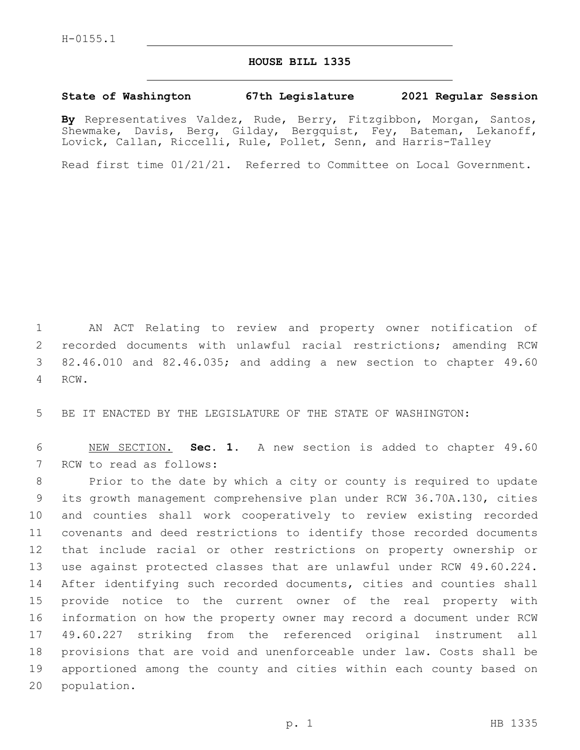## **HOUSE BILL 1335**

## **State of Washington 67th Legislature 2021 Regular Session**

**By** Representatives Valdez, Rude, Berry, Fitzgibbon, Morgan, Santos, Shewmake, Davis, Berg, Gilday, Bergquist, Fey, Bateman, Lekanoff, Lovick, Callan, Riccelli, Rule, Pollet, Senn, and Harris-Talley

Read first time 01/21/21. Referred to Committee on Local Government.

 AN ACT Relating to review and property owner notification of recorded documents with unlawful racial restrictions; amending RCW 82.46.010 and 82.46.035; and adding a new section to chapter 49.60 4 RCW.

BE IT ENACTED BY THE LEGISLATURE OF THE STATE OF WASHINGTON:

 NEW SECTION. **Sec. 1.** A new section is added to chapter 49.60 7 RCW to read as follows:

 Prior to the date by which a city or county is required to update its growth management comprehensive plan under RCW 36.70A.130, cities and counties shall work cooperatively to review existing recorded covenants and deed restrictions to identify those recorded documents that include racial or other restrictions on property ownership or use against protected classes that are unlawful under RCW 49.60.224. After identifying such recorded documents, cities and counties shall provide notice to the current owner of the real property with information on how the property owner may record a document under RCW 49.60.227 striking from the referenced original instrument all provisions that are void and unenforceable under law. Costs shall be apportioned among the county and cities within each county based on 20 population.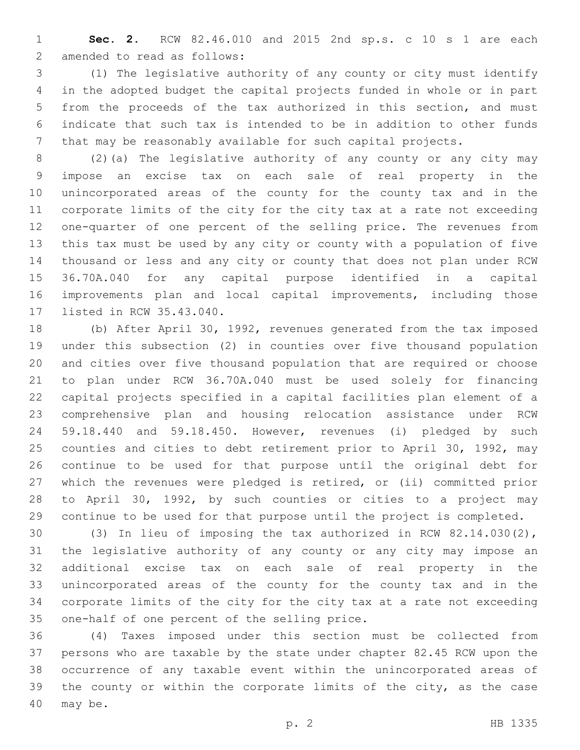**Sec. 2.** RCW 82.46.010 and 2015 2nd sp.s. c 10 s 1 are each 2 amended to read as follows:

 (1) The legislative authority of any county or city must identify in the adopted budget the capital projects funded in whole or in part from the proceeds of the tax authorized in this section, and must indicate that such tax is intended to be in addition to other funds that may be reasonably available for such capital projects.

 (2)(a) The legislative authority of any county or any city may impose an excise tax on each sale of real property in the unincorporated areas of the county for the county tax and in the corporate limits of the city for the city tax at a rate not exceeding one-quarter of one percent of the selling price. The revenues from this tax must be used by any city or county with a population of five thousand or less and any city or county that does not plan under RCW 36.70A.040 for any capital purpose identified in a capital improvements plan and local capital improvements, including those 17 listed in RCW 35.43.040.

 (b) After April 30, 1992, revenues generated from the tax imposed under this subsection (2) in counties over five thousand population and cities over five thousand population that are required or choose to plan under RCW 36.70A.040 must be used solely for financing capital projects specified in a capital facilities plan element of a comprehensive plan and housing relocation assistance under RCW 59.18.440 and 59.18.450. However, revenues (i) pledged by such counties and cities to debt retirement prior to April 30, 1992, may continue to be used for that purpose until the original debt for which the revenues were pledged is retired, or (ii) committed prior to April 30, 1992, by such counties or cities to a project may continue to be used for that purpose until the project is completed.

 (3) In lieu of imposing the tax authorized in RCW 82.14.030(2), the legislative authority of any county or any city may impose an additional excise tax on each sale of real property in the unincorporated areas of the county for the county tax and in the corporate limits of the city for the city tax at a rate not exceeding 35 one-half of one percent of the selling price.

 (4) Taxes imposed under this section must be collected from persons who are taxable by the state under chapter 82.45 RCW upon the occurrence of any taxable event within the unincorporated areas of the county or within the corporate limits of the city, as the case 40 may be.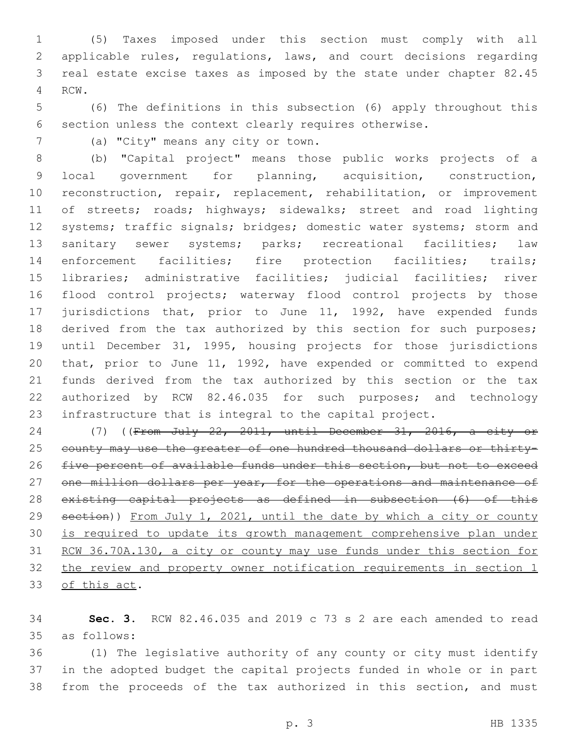(5) Taxes imposed under this section must comply with all applicable rules, regulations, laws, and court decisions regarding real estate excise taxes as imposed by the state under chapter 82.45 4 RCW.

 (6) The definitions in this subsection (6) apply throughout this section unless the context clearly requires otherwise.

7 (a) "City" means any city or town.

 (b) "Capital project" means those public works projects of a local government for planning, acquisition, construction, reconstruction, repair, replacement, rehabilitation, or improvement 11 of streets; roads; highways; sidewalks; street and road lighting systems; traffic signals; bridges; domestic water systems; storm and sanitary sewer systems; parks; recreational facilities; law enforcement facilities; fire protection facilities; trails; libraries; administrative facilities; judicial facilities; river flood control projects; waterway flood control projects by those jurisdictions that, prior to June 11, 1992, have expended funds derived from the tax authorized by this section for such purposes; until December 31, 1995, housing projects for those jurisdictions that, prior to June 11, 1992, have expended or committed to expend funds derived from the tax authorized by this section or the tax authorized by RCW 82.46.035 for such purposes; and technology infrastructure that is integral to the capital project.

 (7) ((From July 22, 2011, until December 31, 2016, a city or 25 county may use the greater of one hundred thousand dollars or thirty-26 five percent of available funds under this section, but not to exceed 27 one million dollars per year, for the operations and maintenance of existing capital projects as defined in subsection (6) of this 29 section)) From July 1, 2021, until the date by which a city or county is required to update its growth management comprehensive plan under 31 RCW 36.70A.130, a city or county may use funds under this section for the review and property owner notification requirements in section 1 33 of this act.

 **Sec. 3.** RCW 82.46.035 and 2019 c 73 s 2 are each amended to read as follows:35

 (1) The legislative authority of any county or city must identify in the adopted budget the capital projects funded in whole or in part from the proceeds of the tax authorized in this section, and must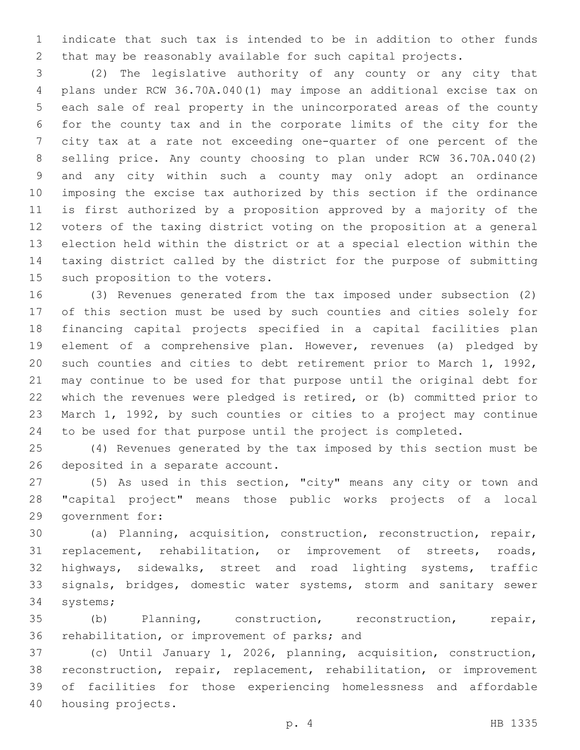indicate that such tax is intended to be in addition to other funds that may be reasonably available for such capital projects.

 (2) The legislative authority of any county or any city that plans under RCW 36.70A.040(1) may impose an additional excise tax on each sale of real property in the unincorporated areas of the county for the county tax and in the corporate limits of the city for the city tax at a rate not exceeding one-quarter of one percent of the selling price. Any county choosing to plan under RCW 36.70A.040(2) and any city within such a county may only adopt an ordinance imposing the excise tax authorized by this section if the ordinance is first authorized by a proposition approved by a majority of the voters of the taxing district voting on the proposition at a general election held within the district or at a special election within the taxing district called by the district for the purpose of submitting 15 such proposition to the voters.

 (3) Revenues generated from the tax imposed under subsection (2) of this section must be used by such counties and cities solely for financing capital projects specified in a capital facilities plan element of a comprehensive plan. However, revenues (a) pledged by such counties and cities to debt retirement prior to March 1, 1992, may continue to be used for that purpose until the original debt for which the revenues were pledged is retired, or (b) committed prior to March 1, 1992, by such counties or cities to a project may continue to be used for that purpose until the project is completed.

 (4) Revenues generated by the tax imposed by this section must be 26 deposited in a separate account.

 (5) As used in this section, "city" means any city or town and "capital project" means those public works projects of a local 29 government for:

 (a) Planning, acquisition, construction, reconstruction, repair, replacement, rehabilitation, or improvement of streets, roads, highways, sidewalks, street and road lighting systems, traffic signals, bridges, domestic water systems, storm and sanitary sewer 34 systems;

 (b) Planning, construction, reconstruction, repair, 36 rehabilitation, or improvement of parks; and

 (c) Until January 1, 2026, planning, acquisition, construction, reconstruction, repair, replacement, rehabilitation, or improvement of facilities for those experiencing homelessness and affordable 40 housing projects.